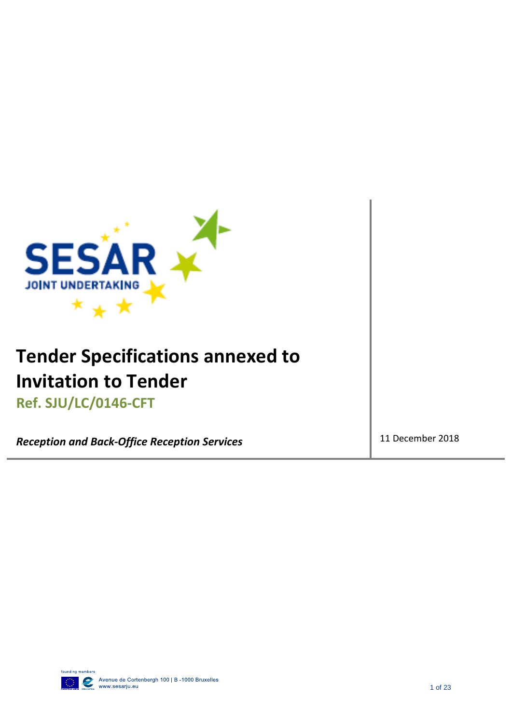

# **Tender Specifications annexed to Invitation to Tender**

**Ref. SJU/LC/0146-CFT** 

**Reception and Back-Office Reception Services** 11 December 2018

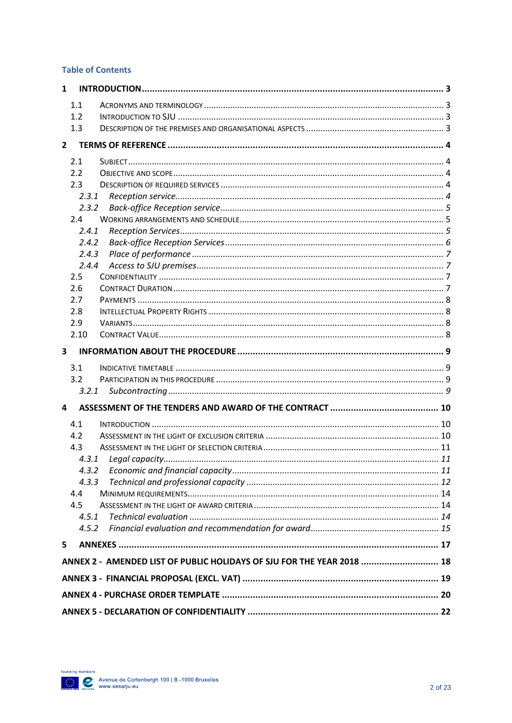#### **Table of Contents**

| 1              |                                                                        |  |  |
|----------------|------------------------------------------------------------------------|--|--|
| 1.1            |                                                                        |  |  |
| 1.2            |                                                                        |  |  |
| 1.3            |                                                                        |  |  |
| $\overline{2}$ |                                                                        |  |  |
| 2.1            |                                                                        |  |  |
| 2.2            |                                                                        |  |  |
| 2.3            |                                                                        |  |  |
|                | 2.3.1                                                                  |  |  |
|                | 2.3.2                                                                  |  |  |
| 2.4            |                                                                        |  |  |
|                | 2.4.1                                                                  |  |  |
|                | 2.4.2                                                                  |  |  |
|                | 2.4.3                                                                  |  |  |
|                | 2.4.4                                                                  |  |  |
| 2.5            |                                                                        |  |  |
| 2.6            |                                                                        |  |  |
| 2.7            |                                                                        |  |  |
| 2.8            |                                                                        |  |  |
| 2.9            |                                                                        |  |  |
| 2.10           |                                                                        |  |  |
| 3              |                                                                        |  |  |
| 3.1            |                                                                        |  |  |
| 3.2            |                                                                        |  |  |
|                | 3.2.1                                                                  |  |  |
| 4              |                                                                        |  |  |
| 4.1            |                                                                        |  |  |
| 4.2            |                                                                        |  |  |
| 4.3            |                                                                        |  |  |
|                | 4.3.1                                                                  |  |  |
|                | 4.3.2                                                                  |  |  |
|                | 4.3.3                                                                  |  |  |
| 4.4            |                                                                        |  |  |
| 4.5            |                                                                        |  |  |
|                | 4.5.1                                                                  |  |  |
|                | 4.5.2                                                                  |  |  |
| 5              |                                                                        |  |  |
|                | ANNEX 2 - AMENDED LIST OF PUBLIC HOLIDAYS OF SJU FOR THE YEAR 2018  18 |  |  |
|                |                                                                        |  |  |
|                |                                                                        |  |  |
|                |                                                                        |  |  |

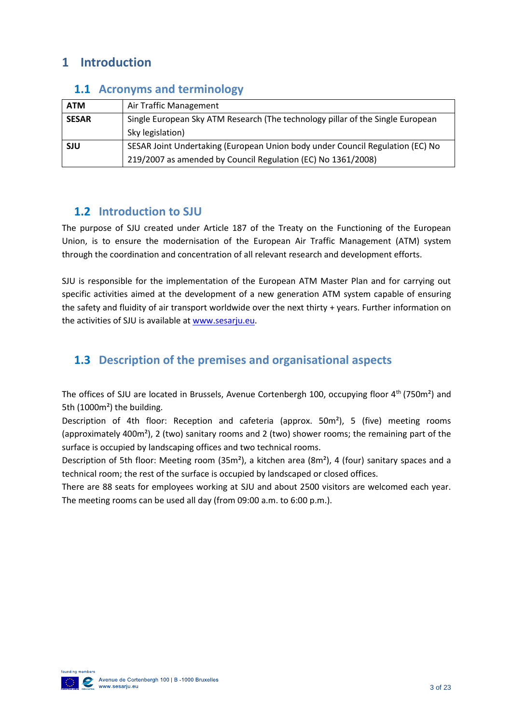### <span id="page-2-0"></span>**1 Introduction**

| <b>ATM</b>   | Air Traffic Management                                                         |  |  |
|--------------|--------------------------------------------------------------------------------|--|--|
| <b>SESAR</b> | Single European Sky ATM Research (The technology pillar of the Single European |  |  |
|              | Sky legislation)                                                               |  |  |
| <b>SJU</b>   | SESAR Joint Undertaking (European Union body under Council Regulation (EC) No  |  |  |
|              | 219/2007 as amended by Council Regulation (EC) No 1361/2008)                   |  |  |

### <span id="page-2-1"></span>**1.1 Acronyms and terminology**

### <span id="page-2-2"></span>**1.2 Introduction to SJU**

The purpose of SJU created under Article 187 of the Treaty on the Functioning of the European Union, is to ensure the modernisation of the European Air Traffic Management (ATM) system through the coordination and concentration of all relevant research and development efforts.

SJU is responsible for the implementation of the European ATM Master Plan and for carrying out specific activities aimed at the development of a new generation ATM system capable of ensuring the safety and fluidity of air transport worldwide over the next thirty + years. Further information on the activities of SJU is available at [www.sesarju.eu.](http://www.sesarju.eu/)

### <span id="page-2-3"></span>**1.3 Description of the premises and organisational aspects**

The offices of SJU are located in Brussels, Avenue Cortenbergh 100, occupying floor  $4<sup>th</sup>$  (750m<sup>2</sup>) and 5th (1000m²) the building.

Description of 4th floor: Reception and cafeteria (approx. 50m²), 5 (five) meeting rooms (approximately 400m²), 2 (two) sanitary rooms and 2 (two) shower rooms; the remaining part of the surface is occupied by landscaping offices and two technical rooms.

Description of 5th floor: Meeting room (35m²), a kitchen area (8m²), 4 (four) sanitary spaces and a technical room; the rest of the surface is occupied by landscaped or closed offices.

There are 88 seats for employees working at SJU and about 2500 visitors are welcomed each year. The meeting rooms can be used all day (from 09:00 a.m. to 6:00 p.m.).

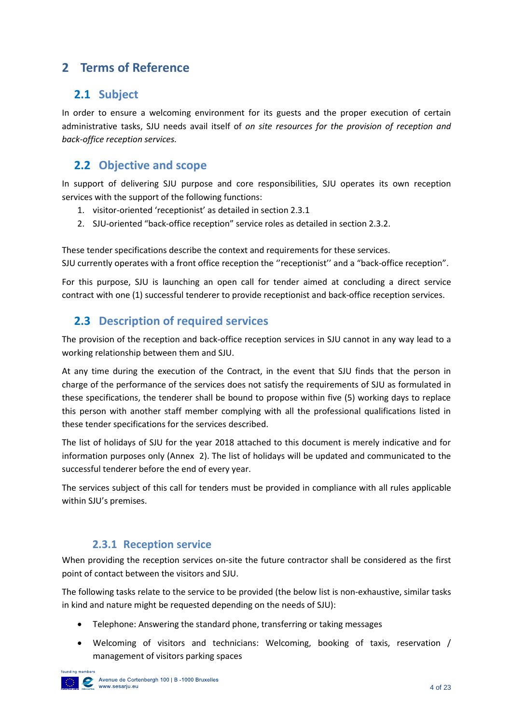### <span id="page-3-0"></span>**2 Terms of Reference**

### <span id="page-3-1"></span>**2.1 Subject**

In order to ensure a welcoming environment for its guests and the proper execution of certain administrative tasks, SJU needs avail itself of *on site resources for the provision of reception and back-office reception services.*

### <span id="page-3-2"></span>**2.2 Objective and scope**

In support of delivering SJU purpose and core responsibilities, SJU operates its own reception services with the support of the following functions:

- 1. visitor-oriented 'receptionist' as detailed in section 2.3.1
- 2. SJU-oriented "back-office reception" service roles as detailed in section 2.3.2.

These tender specifications describe the context and requirements for these services. SJU currently operates with a front office reception the ''receptionist'' and a "back-office reception".

For this purpose, SJU is launching an open call for tender aimed at concluding a direct service contract with one (1) successful tenderer to provide receptionist and back-office reception services.

### <span id="page-3-3"></span>**2.3 Description of required services**

The provision of the reception and back-office reception services in SJU cannot in any way lead to a working relationship between them and SJU.

At any time during the execution of the Contract, in the event that SJU finds that the person in charge of the performance of the services does not satisfy the requirements of SJU as formulated in these specifications, the tenderer shall be bound to propose within five (5) working days to replace this person with another staff member complying with all the professional qualifications listed in these tender specifications for the services described.

The list of holidays of SJU for the year 2018 attached to this document is merely indicative and for information purposes only (Annex 2). The list of holidays will be updated and communicated to the successful tenderer before the end of every year.

The services subject of this call for tenders must be provided in compliance with all rules applicable within SJU's premises.

### **2.3.1 Reception service**

<span id="page-3-4"></span>When providing the reception services on-site the future contractor shall be considered as the first point of contact between the visitors and SJU.

The following tasks relate to the service to be provided (the below list is non-exhaustive, similar tasks in kind and nature might be requested depending on the needs of SJU):

- Telephone: Answering the standard phone, transferring or taking messages
- Welcoming of visitors and technicians: Welcoming, booking of taxis, reservation / management of visitors parking spaces

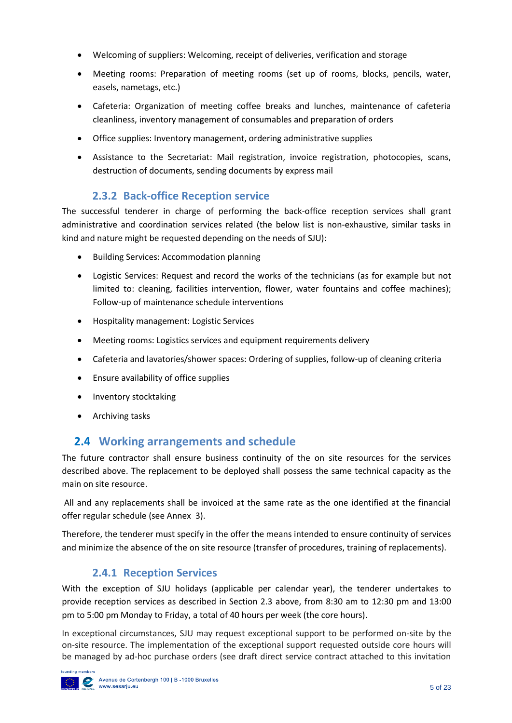- Welcoming of suppliers: Welcoming, receipt of deliveries, verification and storage
- Meeting rooms: Preparation of meeting rooms (set up of rooms, blocks, pencils, water, easels, nametags, etc.)
- Cafeteria: Organization of meeting coffee breaks and lunches, maintenance of cafeteria cleanliness, inventory management of consumables and preparation of orders
- Office supplies: Inventory management, ordering administrative supplies
- Assistance to the Secretariat: Mail registration, invoice registration, photocopies, scans, destruction of documents, sending documents by express mail

### **2.3.2 Back-office Reception service**

<span id="page-4-0"></span>The successful tenderer in charge of performing the back-office reception services shall grant administrative and coordination services related (the below list is non-exhaustive, similar tasks in kind and nature might be requested depending on the needs of SJU):

- Building Services: Accommodation planning
- Logistic Services: Request and record the works of the technicians (as for example but not limited to: cleaning, facilities intervention, flower, water fountains and coffee machines); Follow-up of maintenance schedule interventions
- Hospitality management: Logistic Services
- Meeting rooms: Logistics services and equipment requirements delivery
- Cafeteria and lavatories/shower spaces: Ordering of supplies, follow-up of cleaning criteria
- Ensure availability of office supplies
- Inventory stocktaking
- Archiving tasks

### <span id="page-4-1"></span>**2.4 Working arrangements and schedule**

The future contractor shall ensure business continuity of the on site resources for the services described above. The replacement to be deployed shall possess the same technical capacity as the main on site resource.

All and any replacements shall be invoiced at the same rate as the one identified at the financial offer regular schedule (see Annex 3).

Therefore, the tenderer must specify in the offer the means intended to ensure continuity of services and minimize the absence of the on site resource (transfer of procedures, training of replacements).

### **2.4.1 Reception Services**

<span id="page-4-2"></span>With the exception of SJU holidays (applicable per calendar year), the tenderer undertakes to provide reception services as described in Section 2.3 above, from 8:30 am to 12:30 pm and 13:00 pm to 5:00 pm Monday to Friday, a total of 40 hours per week (the core hours).

In exceptional circumstances, SJU may request exceptional support to be performed on-site by the on-site resource. The implementation of the exceptional support requested outside core hours will be managed by ad-hoc purchase orders (see draft direct service contract attached to this invitation

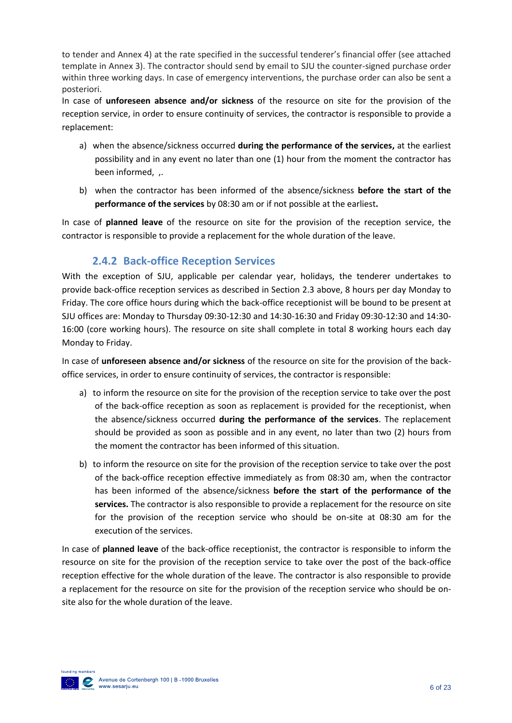to tender and Annex 4) at the rate specified in the successful tenderer's financial offer (see attached template in Annex 3). The contractor should send by email to SJU the counter-signed purchase order within three working days. In case of emergency interventions, the purchase order can also be sent a posteriori.

In case of **unforeseen absence and/or sickness** of the resource on site for the provision of the reception service, in order to ensure continuity of services, the contractor is responsible to provide a replacement:

- a) when the absence/sickness occurred **during the performance of the services,** at the earliest possibility and in any event no later than one (1) hour from the moment the contractor has been informed, ,.
- b) when the contractor has been informed of the absence/sickness **before the start of the performance of the services** by 08:30 am or if not possible at the earliest**.**

In case of **planned leave** of the resource on site for the provision of the reception service, the contractor is responsible to provide a replacement for the whole duration of the leave.

### **2.4.2 Back-office Reception Services**

<span id="page-5-0"></span>With the exception of SJU, applicable per calendar year, holidays, the tenderer undertakes to provide back-office reception services as described in Section 2.3 above, 8 hours per day Monday to Friday. The core office hours during which the back-office receptionist will be bound to be present at SJU offices are: Monday to Thursday 09:30-12:30 and 14:30-16:30 and Friday 09:30-12:30 and 14:30- 16:00 (core working hours). The resource on site shall complete in total 8 working hours each day Monday to Friday.

In case of **unforeseen absence and/or sickness** of the resource on site for the provision of the backoffice services, in order to ensure continuity of services, the contractor is responsible:

- a) to inform the resource on site for the provision of the reception service to take over the post of the back-office reception as soon as replacement is provided for the receptionist, when the absence/sickness occurred **during the performance of the services**. The replacement should be provided as soon as possible and in any event, no later than two (2) hours from the moment the contractor has been informed of this situation.
- b) to inform the resource on site for the provision of the reception service to take over the post of the back-office reception effective immediately as from 08:30 am, when the contractor has been informed of the absence/sickness **before the start of the performance of the services.** The contractor is also responsible to provide a replacement for the resource on site for the provision of the reception service who should be on-site at 08:30 am for the execution of the services.

In case of **planned leave** of the back-office receptionist, the contractor is responsible to inform the resource on site for the provision of the reception service to take over the post of the back-office reception effective for the whole duration of the leave. The contractor is also responsible to provide a replacement for the resource on site for the provision of the reception service who should be onsite also for the whole duration of the leave.

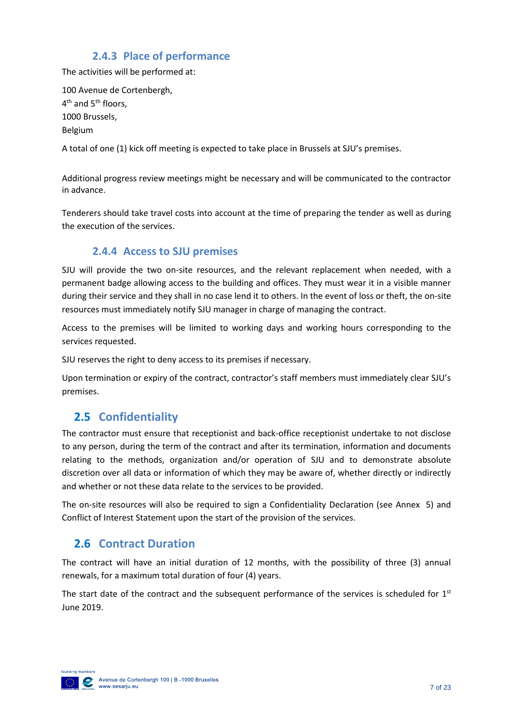### **2.4.3 Place of performance**

<span id="page-6-0"></span>The activities will be performed at:

100 Avenue de Cortenbergh, 4<sup>th</sup> and 5<sup>th</sup> floors, 1000 Brussels, Belgium

A total of one (1) kick off meeting is expected to take place in Brussels at SJU's premises.

Additional progress review meetings might be necessary and will be communicated to the contractor in advance.

Tenderers should take travel costs into account at the time of preparing the tender as well as during the execution of the services.

### **2.4.4 Access to SJU premises**

<span id="page-6-1"></span>SJU will provide the two on-site resources, and the relevant replacement when needed, with a permanent badge allowing access to the building and offices. They must wear it in a visible manner during their service and they shall in no case lend it to others. In the event of loss or theft, the on-site resources must immediately notify SJU manager in charge of managing the contract.

Access to the premises will be limited to working days and working hours corresponding to the services requested.

SJU reserves the right to deny access to its premises if necessary.

Upon termination or expiry of the contract, contractor's staff members must immediately clear SJU's premises.

### <span id="page-6-2"></span>**2.5 Confidentiality**

The contractor must ensure that receptionist and back-office receptionist undertake to not disclose to any person, during the term of the contract and after its termination, information and documents relating to the methods, organization and/or operation of SJU and to demonstrate absolute discretion over all data or information of which they may be aware of, whether directly or indirectly and whether or not these data relate to the services to be provided.

The on-site resources will also be required to sign a Confidentiality Declaration (see Annex 5) and Conflict of Interest Statement upon the start of the provision of the services.

### <span id="page-6-3"></span>**2.6 Contract Duration**

The contract will have an initial duration of 12 months, with the possibility of three (3) annual renewals, for a maximum total duration of four (4) years.

The start date of the contract and the subsequent performance of the services is scheduled for  $1<sup>st</sup>$ June 2019.

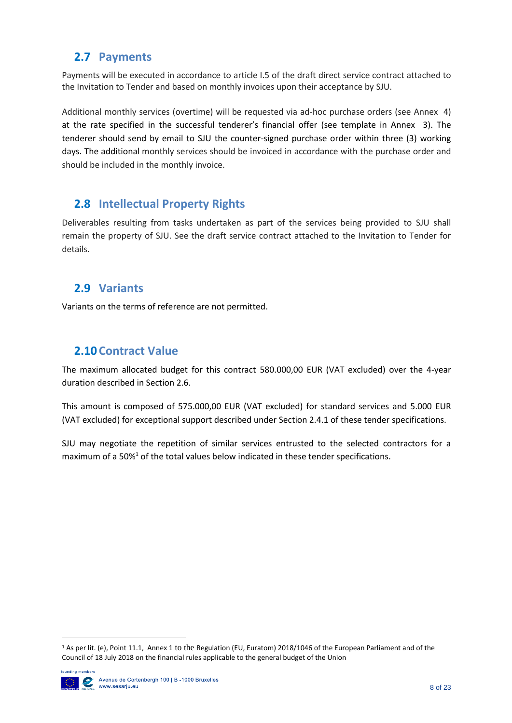### <span id="page-7-0"></span>**2.7 Payments**

Payments will be executed in accordance to article I.5 of the draft direct service contract attached to the Invitation to Tender and based on monthly invoices upon their acceptance by SJU.

Additional monthly services (overtime) will be requested via ad-hoc purchase orders (see Annex 4) at the rate specified in the successful tenderer's financial offer (see template in Annex 3). The tenderer should send by email to SJU the counter-signed purchase order within three (3) working days. The additional monthly services should be invoiced in accordance with the purchase order and should be included in the monthly invoice.

### <span id="page-7-1"></span>**2.8 Intellectual Property Rights**

Deliverables resulting from tasks undertaken as part of the services being provided to SJU shall remain the property of SJU. See the draft service contract attached to the Invitation to Tender for details.

### <span id="page-7-2"></span>**2.9 Variants**

Variants on the terms of reference are not permitted.

### <span id="page-7-3"></span>**2.10 Contract Value**

The maximum allocated budget for this contract 580.000,00 EUR (VAT excluded) over the 4-year duration described in Section 2.6.

This amount is composed of 575.000,00 EUR (VAT excluded) for standard services and 5.000 EUR (VAT excluded) for exceptional support described under Section 2.4.1 of these tender specifications.

SJU may negotiate the repetition of similar services entrusted to the selected contractors for a maximum of a 50% $1$  of the total values below indicated in these tender specifications.

<sup>1</sup> As per lit. (e), Point 11.1, Annex 1 to the Regulation (EU, Euratom) 2018/1046 of the European Parliament and of the Council of 18 July 2018 on the financial rules applicable to the general budget of the Union



**.**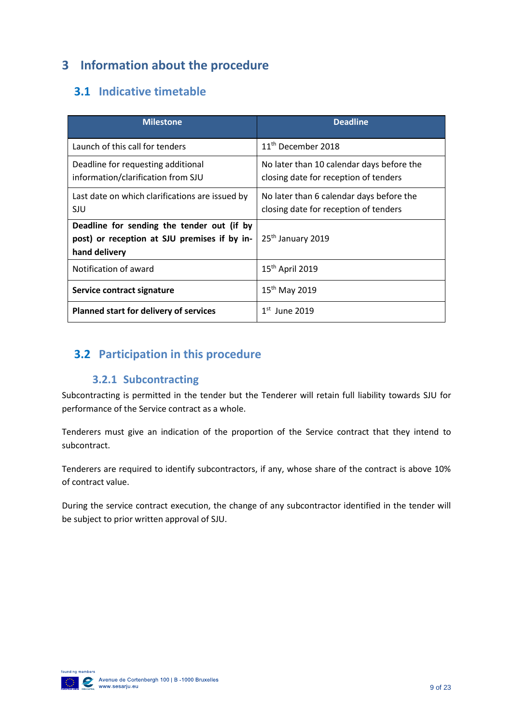## <span id="page-8-0"></span>**3 Information about the procedure**

### <span id="page-8-1"></span>**3.1 Indicative timetable**

| <b>Milestone</b>                                                                                            | <b>Deadline</b>                                                                    |  |
|-------------------------------------------------------------------------------------------------------------|------------------------------------------------------------------------------------|--|
| Launch of this call for tenders                                                                             | 11 <sup>th</sup> December 2018                                                     |  |
| Deadline for requesting additional<br>information/clarification from SJU                                    | No later than 10 calendar days before the<br>closing date for reception of tenders |  |
| Last date on which clarifications are issued by<br>SJU                                                      | No later than 6 calendar days before the<br>closing date for reception of tenders  |  |
| Deadline for sending the tender out (if by<br>post) or reception at SJU premises if by in-<br>hand delivery | 25 <sup>th</sup> January 2019                                                      |  |
| Notification of award                                                                                       | $15th$ April 2019                                                                  |  |
| Service contract signature                                                                                  | 15 <sup>th</sup> May 2019                                                          |  |
| Planned start for delivery of services                                                                      | $1st$ June 2019                                                                    |  |

### <span id="page-8-3"></span><span id="page-8-2"></span>**3.2 Participation in this procedure**

### **3.2.1 Subcontracting**

Subcontracting is permitted in the tender but the Tenderer will retain full liability towards SJU for performance of the Service contract as a whole.

Tenderers must give an indication of the proportion of the Service contract that they intend to subcontract.

Tenderers are required to identify subcontractors, if any, whose share of the contract is above 10% of contract value.

During the service contract execution, the change of any subcontractor identified in the tender will be subject to prior written approval of SJU.

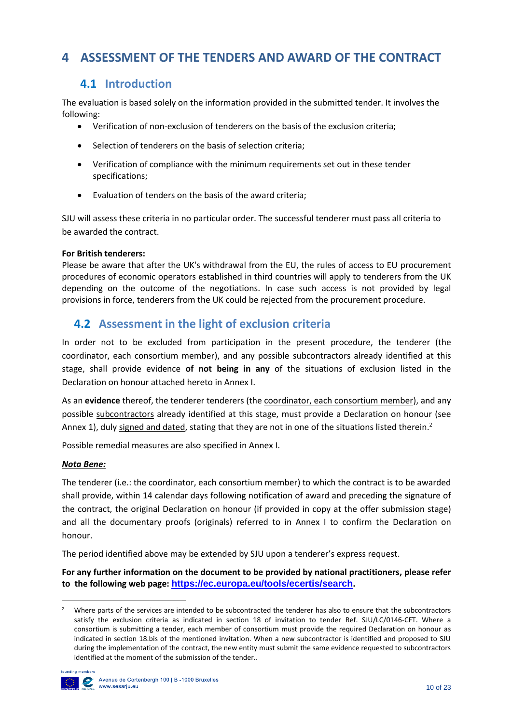### <span id="page-9-1"></span><span id="page-9-0"></span>**4 ASSESSMENT OF THE TENDERS AND AWARD OF THE CONTRACT**

### **4.1 Introduction**

The evaluation is based solely on the information provided in the submitted tender. It involves the following:

- Verification of non-exclusion of tenderers on the basis of the exclusion criteria;
- Selection of tenderers on the basis of selection criteria;
- Verification of compliance with the minimum requirements set out in these tender specifications;
- Evaluation of tenders on the basis of the award criteria;

SJU will assess these criteria in no particular order. The successful tenderer must pass all criteria to be awarded the contract.

#### **For British tenderers:**

Please be aware that after the UK's withdrawal from the EU, the rules of access to EU procurement procedures of economic operators established in third countries will apply to tenderers from the UK depending on the outcome of the negotiations. In case such access is not provided by legal provisions in force, tenderers from the UK could be rejected from the procurement procedure.

### <span id="page-9-2"></span>**4.2 Assessment in the light of exclusion criteria**

In order not to be excluded from participation in the present procedure, the tenderer (the coordinator, each consortium member), and any possible subcontractors already identified at this stage, shall provide evidence **of not being in any** of the situations of exclusion listed in the Declaration on honour attached hereto in Annex I.

As an **evidence** thereof, the tenderer tenderers (the coordinator, each consortium member), and any possible subcontractors already identified at this stage, must provide a Declaration on honour (see Annex 1), duly signed and dated, stating that they are not in one of the situations listed therein.<sup>2</sup>

Possible remedial measures are also specified in Annex I.

#### *Nota Bene:*

The tenderer (i.e.: the coordinator, each consortium member) to which the contract is to be awarded shall provide, within 14 calendar days following notification of award and preceding the signature of the contract, the original Declaration on honour (if provided in copy at the offer submission stage) and all the documentary proofs (originals) referred to in Annex I to confirm the Declaration on honour.

The period identified above may be extended by SJU upon a tenderer's express request.

**For any further information on the document to be provided by national practitioners, please refer to the following web page: <https://ec.europa.eu/tools/ecertis/search>.**

<sup>&</sup>lt;sup>2</sup> Where parts of the services are intended to be subcontracted the tenderer has also to ensure that the subcontractors satisfy the exclusion criteria as indicated in section 18 of invitation to tender Ref. SJU/LC/0146-CFT. Where a consortium is submitting a tender, each member of consortium must provide the required Declaration on honour as indicated in section 18.bis of the mentioned invitation. When a new subcontractor is identified and proposed to SJU during the implementation of the contract, the new entity must submit the same evidence requested to subcontractors identified at the moment of the submission of the tender..



**.**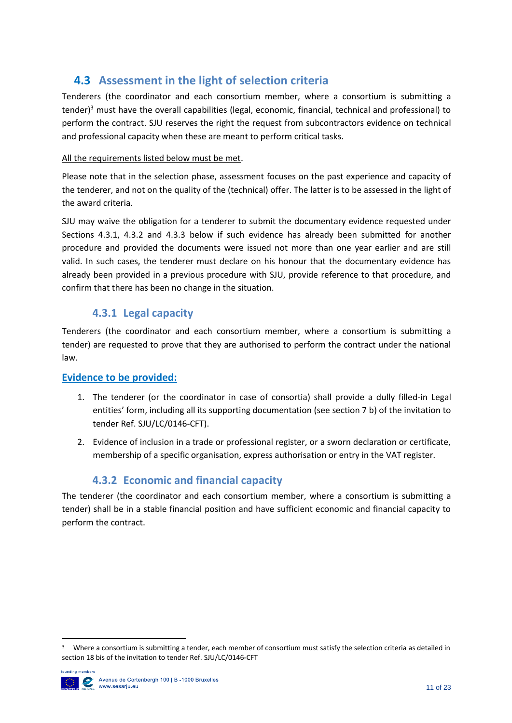### <span id="page-10-0"></span>**4.3 Assessment in the light of selection criteria**

Tenderers (the coordinator and each consortium member, where a consortium is submitting a tender)<sup>3</sup> must have the overall capabilities (legal, economic, financial, technical and professional) to perform the contract. SJU reserves the right the request from subcontractors evidence on technical and professional capacity when these are meant to perform critical tasks.

#### All the requirements listed below must be met.

Please note that in the selection phase, assessment focuses on the past experience and capacity of the tenderer, and not on the quality of the (technical) offer. The latter is to be assessed in the light of the award criteria.

SJU may waive the obligation for a tenderer to submit the documentary evidence requested under Sections 4.3.1, 4.3.2 and 4.3.3 below if such evidence has already been submitted for another procedure and provided the documents were issued not more than one year earlier and are still valid. In such cases, the tenderer must declare on his honour that the documentary evidence has already been provided in a previous procedure with SJU, provide reference to that procedure, and confirm that there has been no change in the situation.

### **4.3.1 Legal capacity**

<span id="page-10-1"></span>Tenderers (the coordinator and each consortium member, where a consortium is submitting a tender) are requested to prove that they are authorised to perform the contract under the national law.

### **Evidence to be provided:**

- 1. The tenderer (or the coordinator in case of consortia) shall provide a dully filled-in Legal entities' form, including all its supporting documentation (see section 7 b) of the invitation to tender Ref. SJU/LC/0146-CFT).
- 2. Evidence of inclusion in a trade or professional register, or a sworn declaration or certificate, membership of a specific organisation, express authorisation or entry in the VAT register.

### **4.3.2 Economic and financial capacity**

<span id="page-10-2"></span>The tenderer (the coordinator and each consortium member, where a consortium is submitting a tender) shall be in a stable financial position and have sufficient economic and financial capacity to perform the contract.

<sup>&</sup>lt;sup>3</sup> Where a consortium is submitting a tender, each member of consortium must satisfy the selection criteria as detailed in section 18 bis of the invitation to tender Ref. SJU/LC/0146-CFT



**.**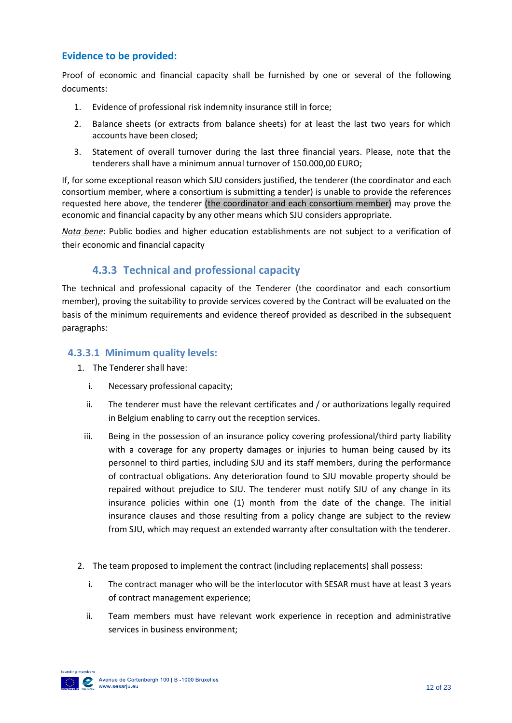### **Evidence to be provided:**

Proof of economic and financial capacity shall be furnished by one or several of the following documents:

- 1. Evidence of professional risk indemnity insurance still in force;
- 2. Balance sheets (or extracts from balance sheets) for at least the last two years for which accounts have been closed;
- 3. Statement of overall turnover during the last three financial years. Please, note that the tenderers shall have a minimum annual turnover of 150.000,00 EURO;

If, for some exceptional reason which SJU considers justified, the tenderer (the coordinator and each consortium member, where a consortium is submitting a tender) is unable to provide the references requested here above, the tenderer (the coordinator and each consortium member) may prove the economic and financial capacity by any other means which SJU considers appropriate.

*Nota bene*: Public bodies and higher education establishments are not subject to a verification of their economic and financial capacity

### **4.3.3 Technical and professional capacity**

<span id="page-11-0"></span>The technical and professional capacity of the Tenderer (the coordinator and each consortium member), proving the suitability to provide services covered by the Contract will be evaluated on the basis of the minimum requirements and evidence thereof provided as described in the subsequent paragraphs:

#### **4.3.3.1 Minimum quality levels:**

- 1. The Tenderer shall have:
	- i. Necessary professional capacity;
	- ii. The tenderer must have the relevant certificates and / or authorizations legally required in Belgium enabling to carry out the reception services.
	- iii. Being in the possession of an insurance policy covering professional/third party liability with a coverage for any property damages or injuries to human being caused by its personnel to third parties, including SJU and its staff members, during the performance of contractual obligations. Any deterioration found to SJU movable property should be repaired without prejudice to SJU. The tenderer must notify SJU of any change in its insurance policies within one (1) month from the date of the change. The initial insurance clauses and those resulting from a policy change are subject to the review from SJU, which may request an extended warranty after consultation with the tenderer.
- 2. The team proposed to implement the contract (including replacements) shall possess:
	- i. The contract manager who will be the interlocutor with SESAR must have at least 3 years of contract management experience;
	- ii. Team members must have relevant work experience in reception and administrative services in business environment;

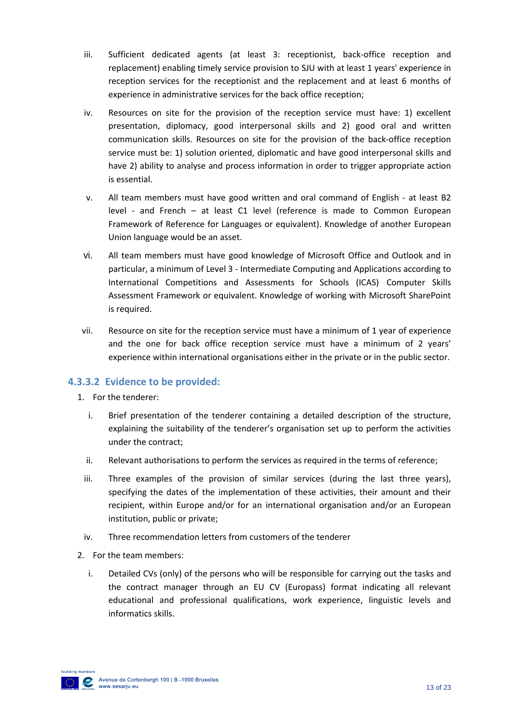- iii. Sufficient dedicated agents (at least 3: receptionist, back-office reception and replacement) enabling timely service provision to SJU with at least 1 years' experience in reception services for the receptionist and the replacement and at least 6 months of experience in administrative services for the back office reception;
- iv. Resources on site for the provision of the reception service must have: 1) excellent presentation, diplomacy, good interpersonal skills and 2) good oral and written communication skills. Resources on site for the provision of the back-office reception service must be: 1) solution oriented, diplomatic and have good interpersonal skills and have 2) ability to analyse and process information in order to trigger appropriate action is essential.
- v. All team members must have good written and oral command of English at least B2 level - and French – at least C1 level (reference is made to Common European Framework of Reference for Languages or equivalent). Knowledge of another European Union language would be an asset.
- vi. All team members must have good knowledge of Microsoft Office and Outlook and in particular, a minimum of Level 3 - Intermediate Computing and Applications according to International Competitions and Assessments for Schools (ICAS) Computer Skills Assessment Framework or equivalent. Knowledge of working with Microsoft SharePoint is required.
- vii. Resource on site for the reception service must have a minimum of 1 year of experience and the one for back office reception service must have a minimum of 2 years' experience within international organisations either in the private or in the public sector.

### **4.3.3.2 Evidence to be provided:**

- 1. For the tenderer:
	- i. Brief presentation of the tenderer containing a detailed description of the structure, explaining the suitability of the tenderer's organisation set up to perform the activities under the contract;
	- ii. Relevant authorisations to perform the services as required in the terms of reference;
	- iii. Three examples of the provision of similar services (during the last three years), specifying the dates of the implementation of these activities, their amount and their recipient, within Europe and/or for an international organisation and/or an European institution, public or private;
	- iv. Three recommendation letters from customers of the tenderer
- 2. For the team members:
	- i. Detailed CVs (only) of the persons who will be responsible for carrying out the tasks and the contract manager through an EU CV (Europass) format indicating all relevant educational and professional qualifications, work experience, linguistic levels and informatics skills.

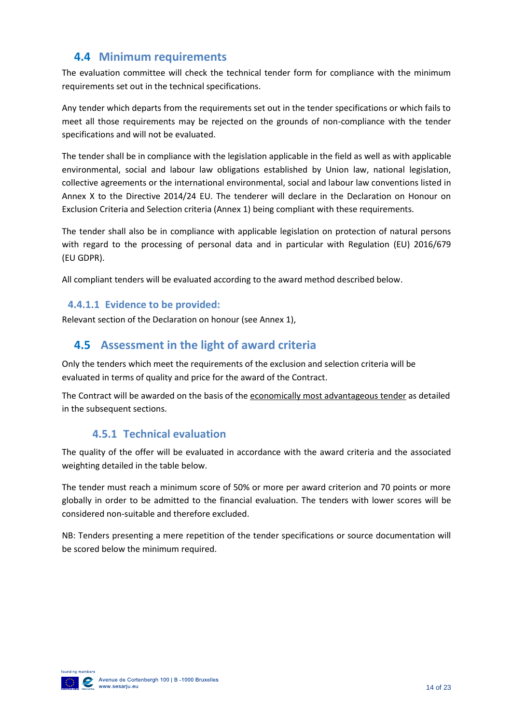### <span id="page-13-0"></span>**4.4 Minimum requirements**

The evaluation committee will check the technical tender form for compliance with the minimum requirements set out in the technical specifications.

Any tender which departs from the requirements set out in the tender specifications or which fails to meet all those requirements may be rejected on the grounds of non-compliance with the tender specifications and will not be evaluated.

The tender shall be in compliance with the legislation applicable in the field as well as with applicable environmental, social and labour law obligations established by Union law, national legislation, collective agreements or the international environmental, social and labour law conventions listed in Annex X to the Directive 2014/24 EU. The tenderer will declare in the Declaration on Honour on Exclusion Criteria and Selection criteria (Annex 1) being compliant with these requirements.

The tender shall also be in compliance with applicable legislation on protection of natural persons with regard to the processing of personal data and in particular with Regulation (EU) 2016/679 (EU GDPR).

All compliant tenders will be evaluated according to the award method described below.

#### **4.4.1.1 Evidence to be provided:**

Relevant section of the Declaration on honour (see Annex 1),

### <span id="page-13-1"></span>**4.5 Assessment in the light of award criteria**

Only the tenders which meet the requirements of the exclusion and selection criteria will be evaluated in terms of quality and price for the award of the Contract.

<span id="page-13-2"></span>The Contract will be awarded on the basis of the economically most advantageous tender as detailed in the subsequent sections.

### **4.5.1 Technical evaluation**

The quality of the offer will be evaluated in accordance with the award criteria and the associated weighting detailed in the table below.

The tender must reach a minimum score of 50% or more per award criterion and 70 points or more globally in order to be admitted to the financial evaluation. The tenders with lower scores will be considered non-suitable and therefore excluded.

NB: Tenders presenting a mere repetition of the tender specifications or source documentation will be scored below the minimum required.

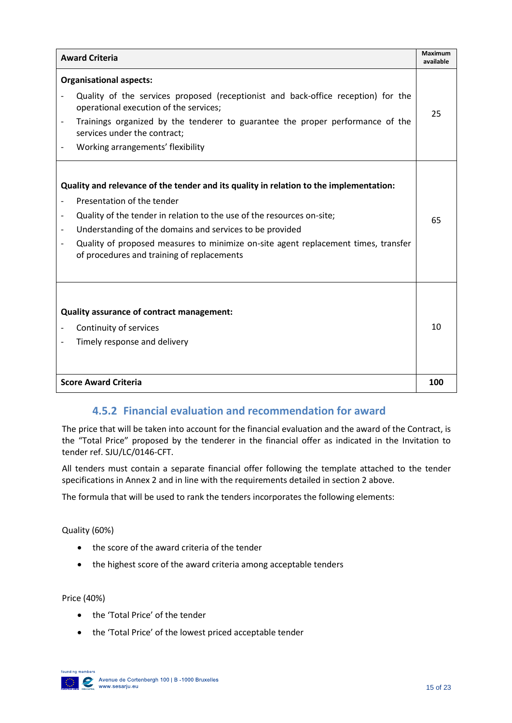| <b>Award Criteria</b>                                                                                                                                                                                                                                                                                                                                                                          |    |  |
|------------------------------------------------------------------------------------------------------------------------------------------------------------------------------------------------------------------------------------------------------------------------------------------------------------------------------------------------------------------------------------------------|----|--|
| <b>Organisational aspects:</b><br>Quality of the services proposed (receptionist and back-office reception) for the<br>operational execution of the services;<br>Trainings organized by the tenderer to guarantee the proper performance of the<br>services under the contract:<br>Working arrangements' flexibility                                                                           | 25 |  |
| Quality and relevance of the tender and its quality in relation to the implementation:<br>Presentation of the tender<br>Quality of the tender in relation to the use of the resources on-site;<br>Understanding of the domains and services to be provided<br>Quality of proposed measures to minimize on-site agent replacement times, transfer<br>of procedures and training of replacements |    |  |
| Quality assurance of contract management:<br>Continuity of services<br>Timely response and delivery                                                                                                                                                                                                                                                                                            |    |  |
| <b>Score Award Criteria</b>                                                                                                                                                                                                                                                                                                                                                                    |    |  |

### **4.5.2 Financial evaluation and recommendation for award**

<span id="page-14-0"></span>The price that will be taken into account for the financial evaluation and the award of the Contract, is the "Total Price" proposed by the tenderer in the financial offer as indicated in the Invitation to tender ref. SJU/LC/0146-CFT.

All tenders must contain a separate financial offer following the template attached to the tender specifications in Annex 2 and in line with the requirements detailed in section 2 above.

The formula that will be used to rank the tenders incorporates the following elements:

Quality (60%)

- the score of the award criteria of the tender
- the highest score of the award criteria among acceptable tenders

Price (40%)

- the 'Total Price' of the tender
- the 'Total Price' of the lowest priced acceptable tender

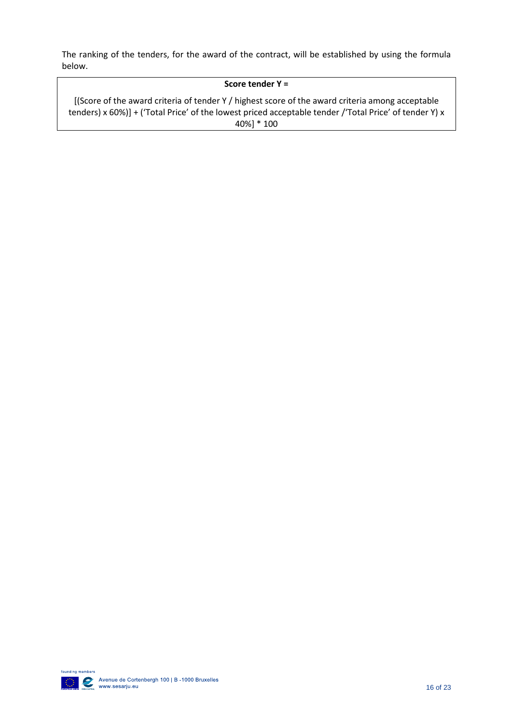The ranking of the tenders, for the award of the contract, will be established by using the formula below.

#### **Score tender Y =**

[(Score of the award criteria of tender Y / highest score of the award criteria among acceptable tenders) x 60%)] + ('Total Price' of the lowest priced acceptable tender /'Total Price' of tender Y) x 40%] \* 100

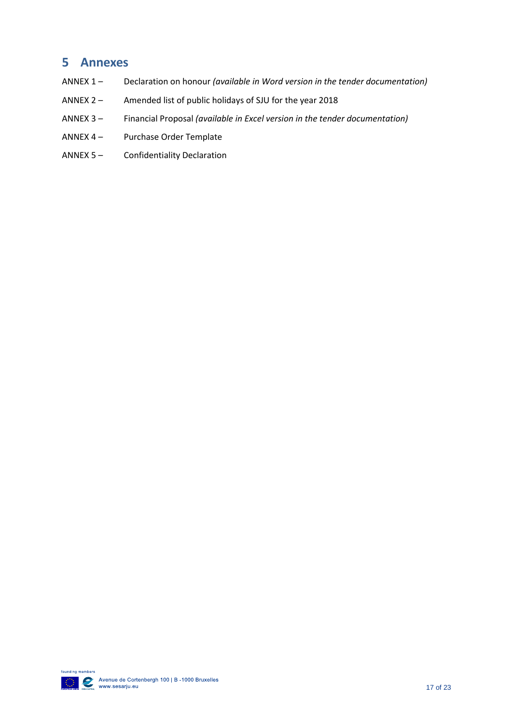### <span id="page-16-0"></span>**5 Annexes**

- ANNEX 1 Declaration on honour *(available in Word version in the tender documentation)*
- ANNEX 2 Amended list of public holidays of SJU for the year 2018
- ANNEX 3 Financial Proposal *(available in Excel version in the tender documentation)*
- ANNEX 4 Purchase Order Template
- ANNEX 5 Confidentiality Declaration

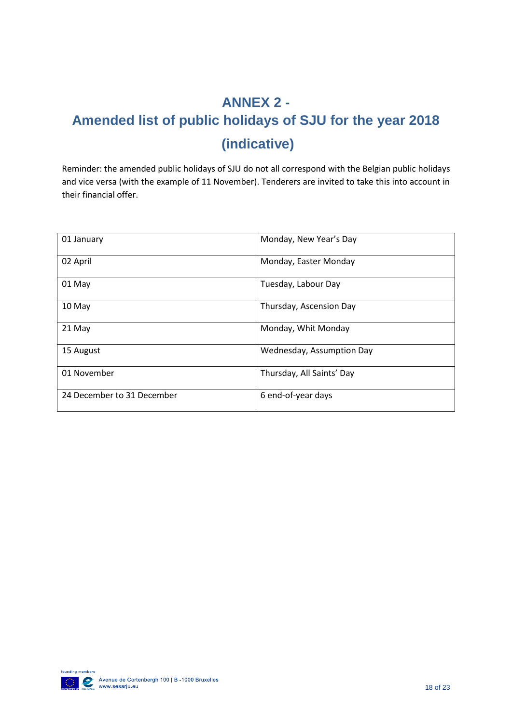## <span id="page-17-0"></span>**ANNEX 2 - Amended list of public holidays of SJU for the year 2018 (indicative)**

Reminder: the amended public holidays of SJU do not all correspond with the Belgian public holidays and vice versa (with the example of 11 November). Tenderers are invited to take this into account in their financial offer.

| 01 January                 | Monday, New Year's Day    |
|----------------------------|---------------------------|
| 02 April                   | Monday, Easter Monday     |
| 01 May                     | Tuesday, Labour Day       |
| 10 May                     | Thursday, Ascension Day   |
| 21 May                     | Monday, Whit Monday       |
| 15 August                  | Wednesday, Assumption Day |
| 01 November                | Thursday, All Saints' Day |
| 24 December to 31 December | 6 end-of-year days        |

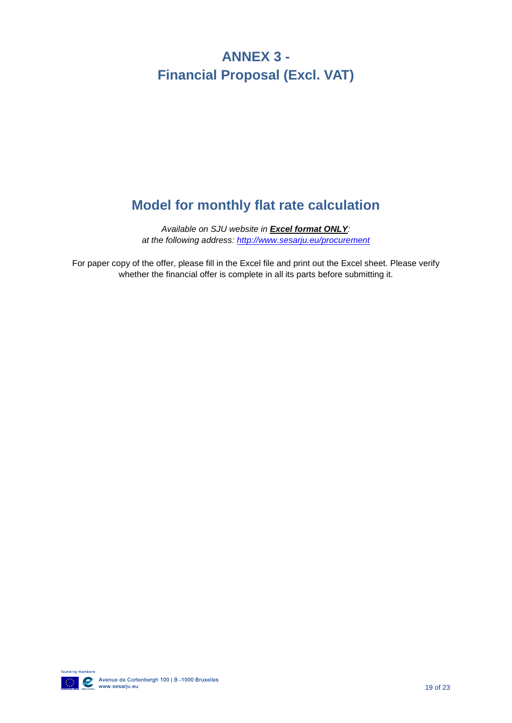## <span id="page-18-0"></span>**ANNEX 3 - Financial Proposal (Excl. VAT)**

## **Model for monthly flat rate calculation**

*Available on SJU website in Excel format ONLY: at the following address:<http://www.sesarju.eu/procurement>*

For paper copy of the offer, please fill in the Excel file and print out the Excel sheet. Please verify whether the financial offer is complete in all its parts before submitting it.

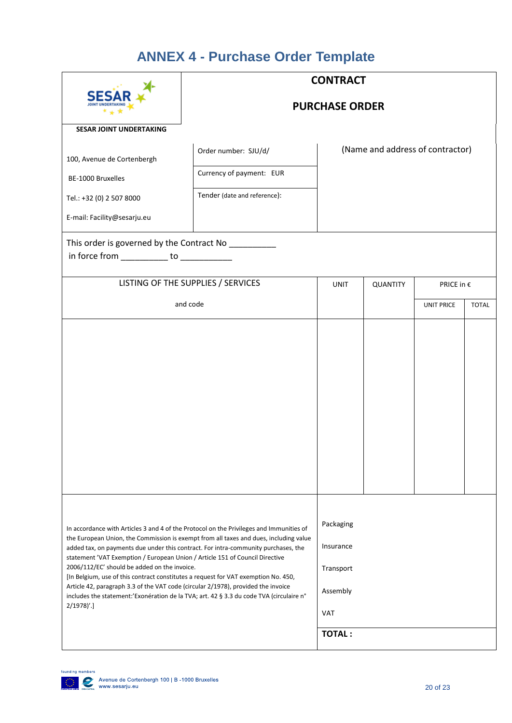## **ANNEX 4 - Purchase Order Template**

<span id="page-19-0"></span>

|                                                                                                                                                                                                                                                                                                                                                                                                                                                                                                                                                                                                                                                                                                          | <b>CONTRACT</b>                    |                                                                         |                                  |                   |              |
|----------------------------------------------------------------------------------------------------------------------------------------------------------------------------------------------------------------------------------------------------------------------------------------------------------------------------------------------------------------------------------------------------------------------------------------------------------------------------------------------------------------------------------------------------------------------------------------------------------------------------------------------------------------------------------------------------------|------------------------------------|-------------------------------------------------------------------------|----------------------------------|-------------------|--------------|
|                                                                                                                                                                                                                                                                                                                                                                                                                                                                                                                                                                                                                                                                                                          | <b>PURCHASE ORDER</b>              |                                                                         |                                  |                   |              |
| <b>SESAR JOINT UNDERTAKING</b>                                                                                                                                                                                                                                                                                                                                                                                                                                                                                                                                                                                                                                                                           |                                    |                                                                         |                                  |                   |              |
| 100, Avenue de Cortenbergh                                                                                                                                                                                                                                                                                                                                                                                                                                                                                                                                                                                                                                                                               | Order number: SJU/d/               |                                                                         | (Name and address of contractor) |                   |              |
| BE-1000 Bruxelles                                                                                                                                                                                                                                                                                                                                                                                                                                                                                                                                                                                                                                                                                        | Currency of payment: EUR           |                                                                         |                                  |                   |              |
| Tel.: +32 (0) 2 507 8000                                                                                                                                                                                                                                                                                                                                                                                                                                                                                                                                                                                                                                                                                 | Tender (date and reference):       |                                                                         |                                  |                   |              |
| E-mail: Facility@sesarju.eu                                                                                                                                                                                                                                                                                                                                                                                                                                                                                                                                                                                                                                                                              |                                    |                                                                         |                                  |                   |              |
| This order is governed by the Contract No _________<br>in force from ____________ to ____________                                                                                                                                                                                                                                                                                                                                                                                                                                                                                                                                                                                                        |                                    |                                                                         |                                  |                   |              |
|                                                                                                                                                                                                                                                                                                                                                                                                                                                                                                                                                                                                                                                                                                          | LISTING OF THE SUPPLIES / SERVICES | <b>UNIT</b>                                                             | <b>QUANTITY</b>                  | PRICE in €        |              |
| and code                                                                                                                                                                                                                                                                                                                                                                                                                                                                                                                                                                                                                                                                                                 |                                    |                                                                         |                                  | <b>UNIT PRICE</b> | <b>TOTAL</b> |
|                                                                                                                                                                                                                                                                                                                                                                                                                                                                                                                                                                                                                                                                                                          |                                    |                                                                         |                                  |                   |              |
| In accordance with Articles 3 and 4 of the Protocol on the Privileges and Immunities of<br>the European Union, the Commission is exempt from all taxes and dues, including value<br>added tax, on payments due under this contract. For intra-community purchases, the<br>statement 'VAT Exemption / European Union / Article 151 of Council Directive<br>2006/112/EC' should be added on the invoice.<br>[In Belgium, use of this contract constitutes a request for VAT exemption No. 450,<br>Article 42, paragraph 3.3 of the VAT code (circular 2/1978), provided the invoice<br>includes the statement:'Exonération de la TVA; art. 42 § 3.3 du code TVA (circulaire n°<br>$2/1978$ <sup>'</sup> .] |                                    | Packaging<br>Insurance<br>Transport<br>Assembly<br>VAT<br><b>TOTAL:</b> |                                  |                   |              |

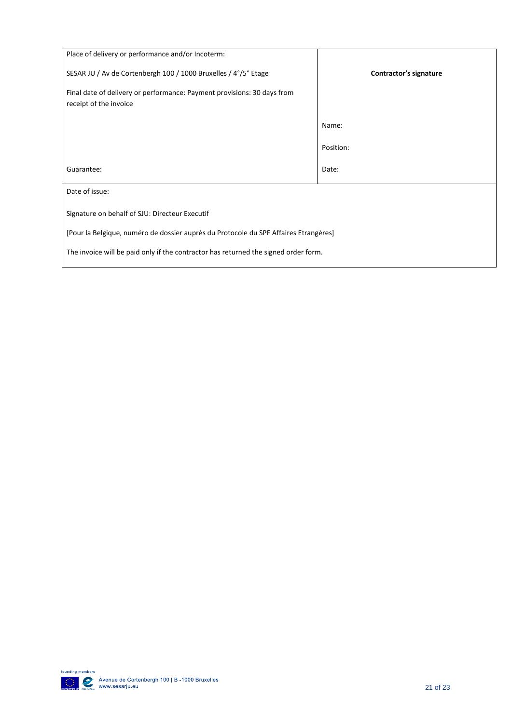| Place of delivery or performance and/or Incoterm:                                                 |                        |  |  |
|---------------------------------------------------------------------------------------------------|------------------------|--|--|
| SESAR JU / Av de Cortenbergh 100 / 1000 Bruxelles / 4°/5° Etage                                   | Contractor's signature |  |  |
| Final date of delivery or performance: Payment provisions: 30 days from<br>receipt of the invoice |                        |  |  |
|                                                                                                   | Name:                  |  |  |
|                                                                                                   | Position:              |  |  |
| Guarantee:                                                                                        | Date:                  |  |  |
| Date of issue:                                                                                    |                        |  |  |
| Signature on behalf of SJU: Directeur Executif                                                    |                        |  |  |
| [Pour la Belgique, numéro de dossier auprès du Protocole du SPF Affaires Etrangères]              |                        |  |  |
| The invoice will be paid only if the contractor has returned the signed order form.               |                        |  |  |

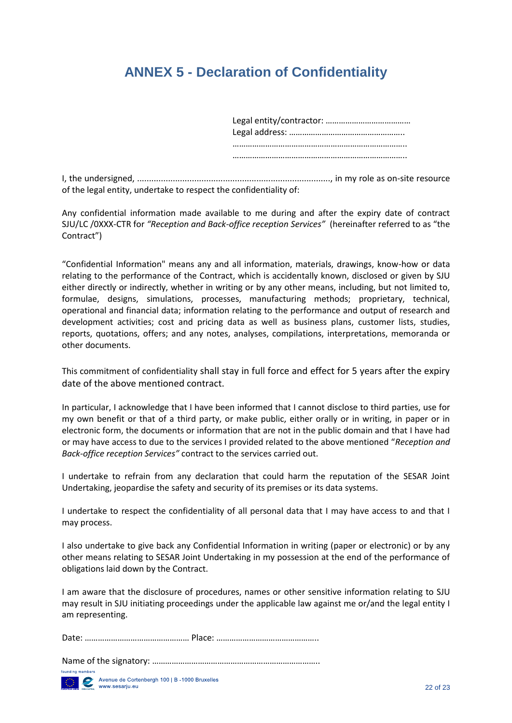## <span id="page-21-0"></span>**ANNEX 5 - Declaration of Confidentiality**

Legal entity/contractor: ………………………………… Legal address: …………………………………………….. …………………………………………………………………….. ……………………………………………………………………..

I, the undersigned, ................................................................................., in my role as on-site resource of the legal entity, undertake to respect the confidentiality of:

Any confidential information made available to me during and after the expiry date of contract SJU/LC /0XXX-CTR for *"Reception and Back-office reception Services"* (hereinafter referred to as "the Contract")

"Confidential Information" means any and all information, materials, drawings, know-how or data relating to the performance of the Contract, which is accidentally known, disclosed or given by SJU either directly or indirectly, whether in writing or by any other means, including, but not limited to, formulae, designs, simulations, processes, manufacturing methods; proprietary, technical, operational and financial data; information relating to the performance and output of research and development activities; cost and pricing data as well as business plans, customer lists, studies, reports, quotations, offers; and any notes, analyses, compilations, interpretations, memoranda or other documents.

This commitment of confidentiality shall stay in full force and effect for 5 years after the expiry date of the above mentioned contract.

In particular, I acknowledge that I have been informed that I cannot disclose to third parties, use for my own benefit or that of a third party, or make public, either orally or in writing, in paper or in electronic form, the documents or information that are not in the public domain and that I have had or may have access to due to the services I provided related to the above mentioned "*Reception and Back-office reception Services"* contract to the services carried out.

I undertake to refrain from any declaration that could harm the reputation of the SESAR Joint Undertaking, jeopardise the safety and security of its premises or its data systems.

I undertake to respect the confidentiality of all personal data that I may have access to and that I may process.

I also undertake to give back any Confidential Information in writing (paper or electronic) or by any other means relating to SESAR Joint Undertaking in my possession at the end of the performance of obligations laid down by the Contract.

I am aware that the disclosure of procedures, names or other sensitive information relating to SJU may result in SJU initiating proceedings under the applicable law against me or/and the legal entity I am representing.

Name of the signatory: …………………………………………………………………..